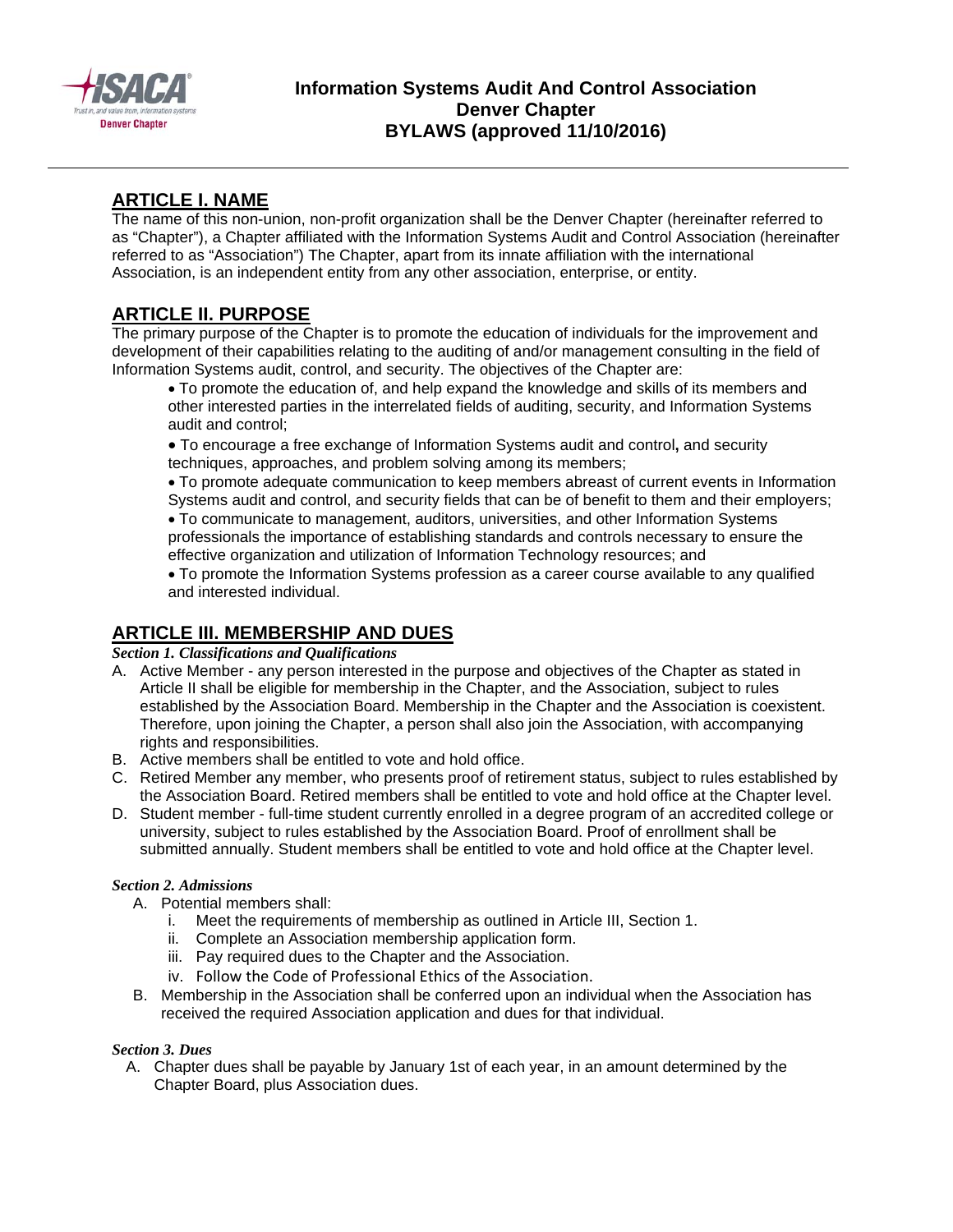

## **Information Systems Audit And Control Association Denver Chapter BYLAWS (approved 11/10/2016)**

## **ARTICLE I. NAME**

The name of this non-union, non-profit organization shall be the Denver Chapter (hereinafter referred to as "Chapter"), a Chapter affiliated with the Information Systems Audit and Control Association (hereinafter referred to as "Association") The Chapter, apart from its innate affiliation with the international Association, is an independent entity from any other association, enterprise, or entity.

# **ARTICLE II. PURPOSE**

The primary purpose of the Chapter is to promote the education of individuals for the improvement and development of their capabilities relating to the auditing of and/or management consulting in the field of Information Systems audit, control, and security. The objectives of the Chapter are:

To promote the education of, and help expand the knowledge and skills of its members and other interested parties in the interrelated fields of auditing, security, and Information Systems audit and control;

To encourage a free exchange of Information Systems audit and control**,** and security techniques, approaches, and problem solving among its members;

To promote adequate communication to keep members abreast of current events in Information Systems audit and control, and security fields that can be of benefit to them and their employers;

To communicate to management, auditors, universities, and other Information Systems professionals the importance of establishing standards and controls necessary to ensure the effective organization and utilization of Information Technology resources; and

To promote the Information Systems profession as a career course available to any qualified and interested individual.

# **ARTICLE III. MEMBERSHIP AND DUES**

*Section 1. Classifications and Qualifications* 

- A. Active Member any person interested in the purpose and objectives of the Chapter as stated in Article II shall be eligible for membership in the Chapter, and the Association, subject to rules established by the Association Board. Membership in the Chapter and the Association is coexistent. Therefore, upon joining the Chapter, a person shall also join the Association, with accompanying rights and responsibilities.
- B. Active members shall be entitled to vote and hold office.
- C. Retired Member any member, who presents proof of retirement status, subject to rules established by the Association Board. Retired members shall be entitled to vote and hold office at the Chapter level.
- D. Student member full-time student currently enrolled in a degree program of an accredited college or university, subject to rules established by the Association Board. Proof of enrollment shall be submitted annually. Student members shall be entitled to vote and hold office at the Chapter level.

### *Section 2. Admissions*

A. Potential members shall:

- i. Meet the requirements of membership as outlined in Article III, Section 1.
- ii. Complete an Association membership application form.
- iii. Pay required dues to the Chapter and the Association.
- iv. Follow the Code of Professional Ethics of the Association.
- B. Membership in the Association shall be conferred upon an individual when the Association has received the required Association application and dues for that individual.

### *Section 3. Dues*

A. Chapter dues shall be payable by January 1st of each year, in an amount determined by the Chapter Board, plus Association dues.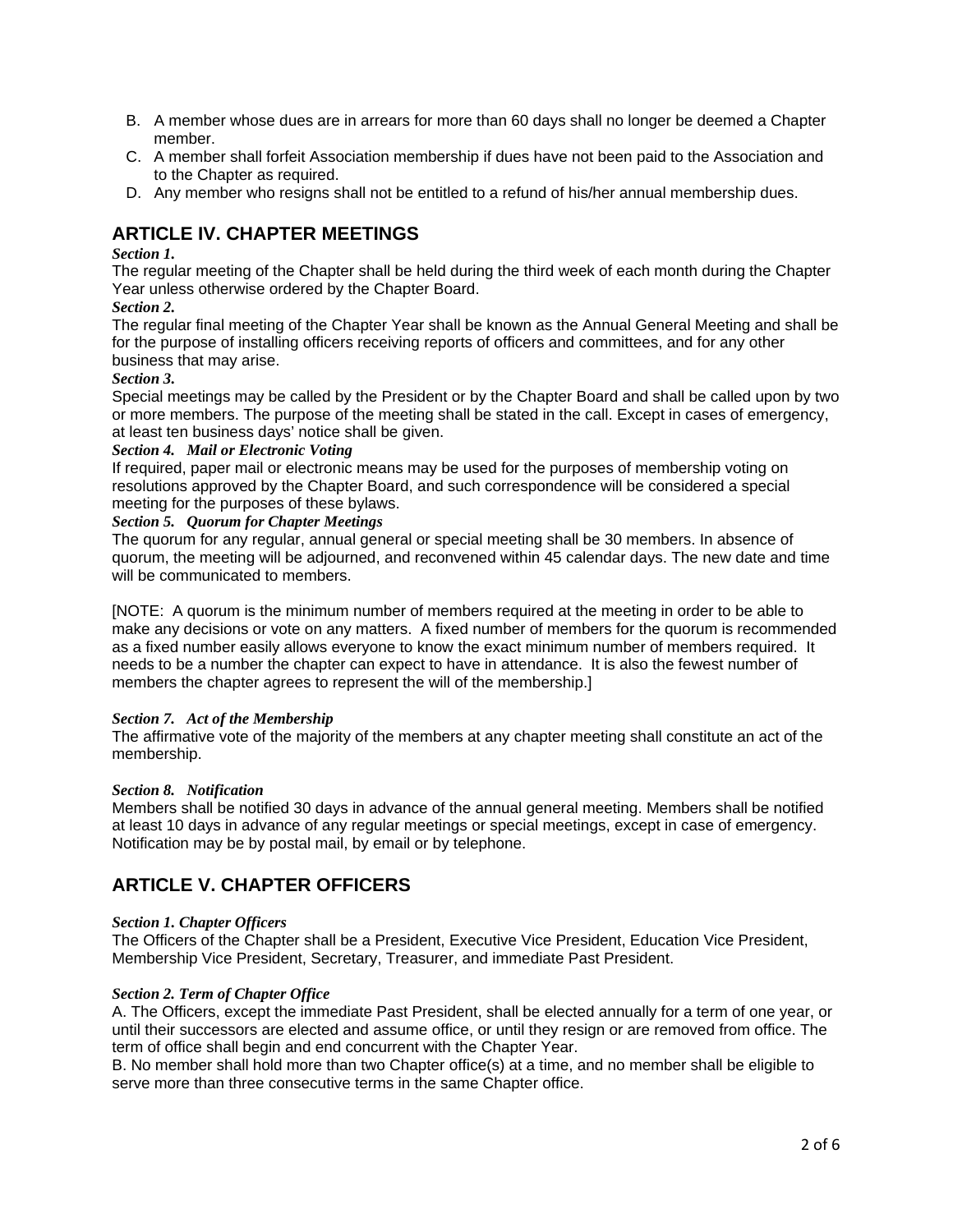- B. A member whose dues are in arrears for more than 60 days shall no longer be deemed a Chapter member.
- C. A member shall forfeit Association membership if dues have not been paid to the Association and to the Chapter as required.
- D. Any member who resigns shall not be entitled to a refund of his/her annual membership dues.

## **ARTICLE IV. CHAPTER MEETINGS**

### *Section 1.*

The regular meeting of the Chapter shall be held during the third week of each month during the Chapter Year unless otherwise ordered by the Chapter Board.

### *Section 2.*

The regular final meeting of the Chapter Year shall be known as the Annual General Meeting and shall be for the purpose of installing officers receiving reports of officers and committees, and for any other business that may arise.

### *Section 3.*

Special meetings may be called by the President or by the Chapter Board and shall be called upon by two or more members. The purpose of the meeting shall be stated in the call. Except in cases of emergency, at least ten business days' notice shall be given.

### *Section 4. Mail or Electronic Voting*

If required, paper mail or electronic means may be used for the purposes of membership voting on resolutions approved by the Chapter Board, and such correspondence will be considered a special meeting for the purposes of these bylaws.

### *Section 5. Quorum for Chapter Meetings*

The quorum for any regular, annual general or special meeting shall be 30 members. In absence of quorum, the meeting will be adjourned, and reconvened within 45 calendar days. The new date and time will be communicated to members.

[NOTE: A quorum is the minimum number of members required at the meeting in order to be able to make any decisions or vote on any matters. A fixed number of members for the quorum is recommended as a fixed number easily allows everyone to know the exact minimum number of members required. It needs to be a number the chapter can expect to have in attendance. It is also the fewest number of members the chapter agrees to represent the will of the membership.]

#### *Section 7. Act of the Membership*

The affirmative vote of the majority of the members at any chapter meeting shall constitute an act of the membership.

#### *Section 8. Notification*

Members shall be notified 30 days in advance of the annual general meeting. Members shall be notified at least 10 days in advance of any regular meetings or special meetings, except in case of emergency. Notification may be by postal mail, by email or by telephone.

## **ARTICLE V. CHAPTER OFFICERS**

#### *Section 1. Chapter Officers*

The Officers of the Chapter shall be a President, Executive Vice President, Education Vice President, Membership Vice President, Secretary, Treasurer, and immediate Past President.

#### *Section 2. Term of Chapter Office*

A. The Officers, except the immediate Past President, shall be elected annually for a term of one year, or until their successors are elected and assume office, or until they resign or are removed from office. The term of office shall begin and end concurrent with the Chapter Year.

B. No member shall hold more than two Chapter office(s) at a time, and no member shall be eligible to serve more than three consecutive terms in the same Chapter office.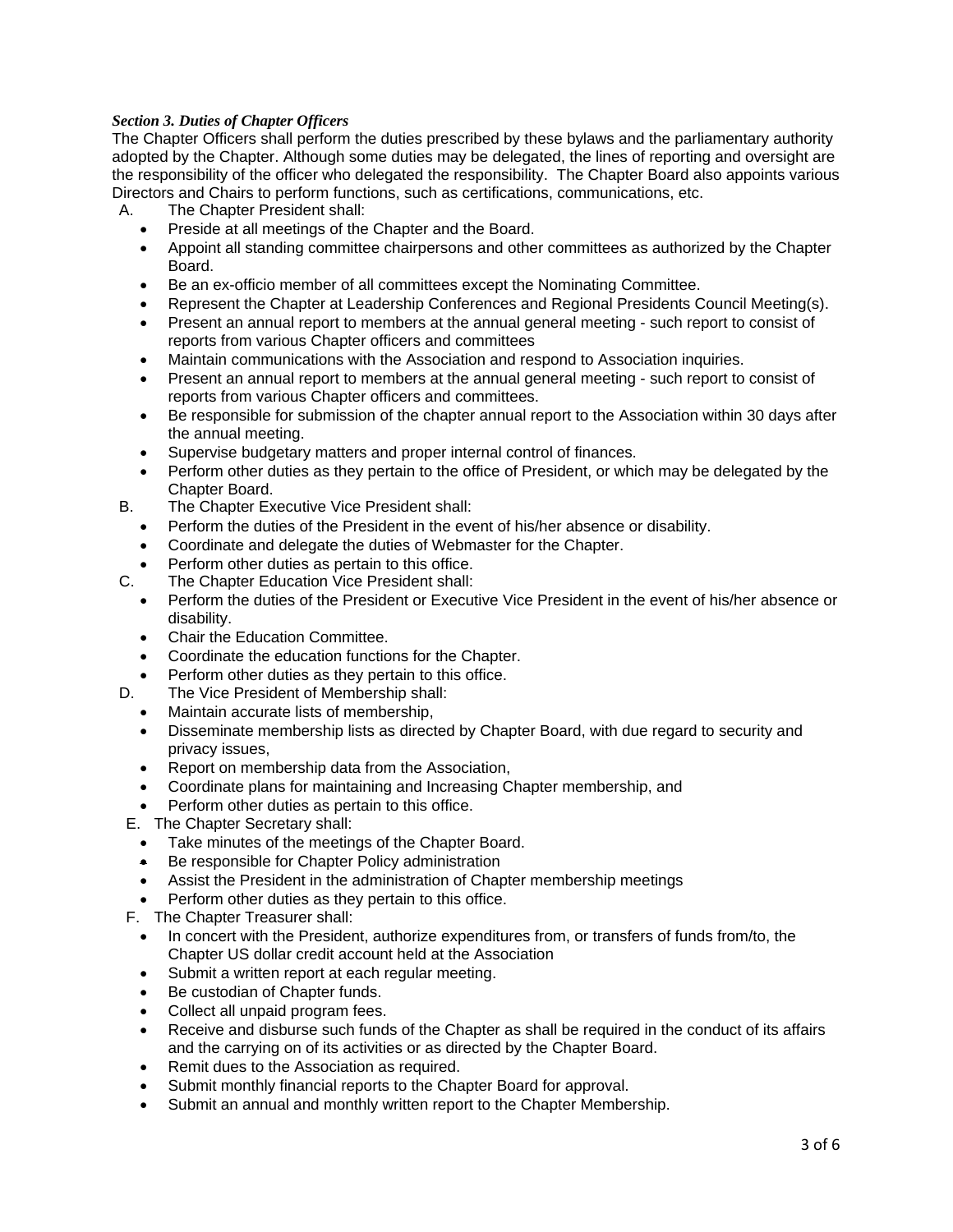### *Section 3. Duties of Chapter Officers*

The Chapter Officers shall perform the duties prescribed by these bylaws and the parliamentary authority adopted by the Chapter. Although some duties may be delegated, the lines of reporting and oversight are the responsibility of the officer who delegated the responsibility. The Chapter Board also appoints various Directors and Chairs to perform functions, such as certifications, communications, etc.

A. The Chapter President shall:

- Preside at all meetings of the Chapter and the Board.
- Appoint all standing committee chairpersons and other committees as authorized by the Chapter Board.
- Be an ex-officio member of all committees except the Nominating Committee.
- Represent the Chapter at Leadership Conferences and Regional Presidents Council Meeting(s).
- Present an annual report to members at the annual general meeting such report to consist of reports from various Chapter officers and committees
- Maintain communications with the Association and respond to Association inquiries.
- Present an annual report to members at the annual general meeting such report to consist of reports from various Chapter officers and committees.
- Be responsible for submission of the chapter annual report to the Association within 30 days after the annual meeting.
- Supervise budgetary matters and proper internal control of finances.
- Perform other duties as they pertain to the office of President, or which may be delegated by the Chapter Board.
- B. The Chapter Executive Vice President shall:
	- Perform the duties of the President in the event of his/her absence or disability.
	- Coordinate and delegate the duties of Webmaster for the Chapter.
	- Perform other duties as pertain to this office.
- C. The Chapter Education Vice President shall:
	- Perform the duties of the President or Executive Vice President in the event of his/her absence or disability.
	- Chair the Education Committee.
	- Coordinate the education functions for the Chapter.
	- Perform other duties as they pertain to this office.
- D. The Vice President of Membership shall:
	- Maintain accurate lists of membership,
	- Disseminate membership lists as directed by Chapter Board, with due regard to security and privacy issues,
	- Report on membership data from the Association,
	- Coordinate plans for maintaining and Increasing Chapter membership, and
	- Perform other duties as pertain to this office.
- E. The Chapter Secretary shall:
	- Take minutes of the meetings of the Chapter Board.
	- Be responsible for Chapter Policy administration
	- Assist the President in the administration of Chapter membership meetings
	- Perform other duties as they pertain to this office.
- F. The Chapter Treasurer shall:
	- In concert with the President, authorize expenditures from, or transfers of funds from/to, the Chapter US dollar credit account held at the Association
	- Submit a written report at each regular meeting.
	- Be custodian of Chapter funds.
	- Collect all unpaid program fees.
	- Receive and disburse such funds of the Chapter as shall be required in the conduct of its affairs and the carrying on of its activities or as directed by the Chapter Board.
	- Remit dues to the Association as required.
	- Submit monthly financial reports to the Chapter Board for approval.
	- Submit an annual and monthly written report to the Chapter Membership.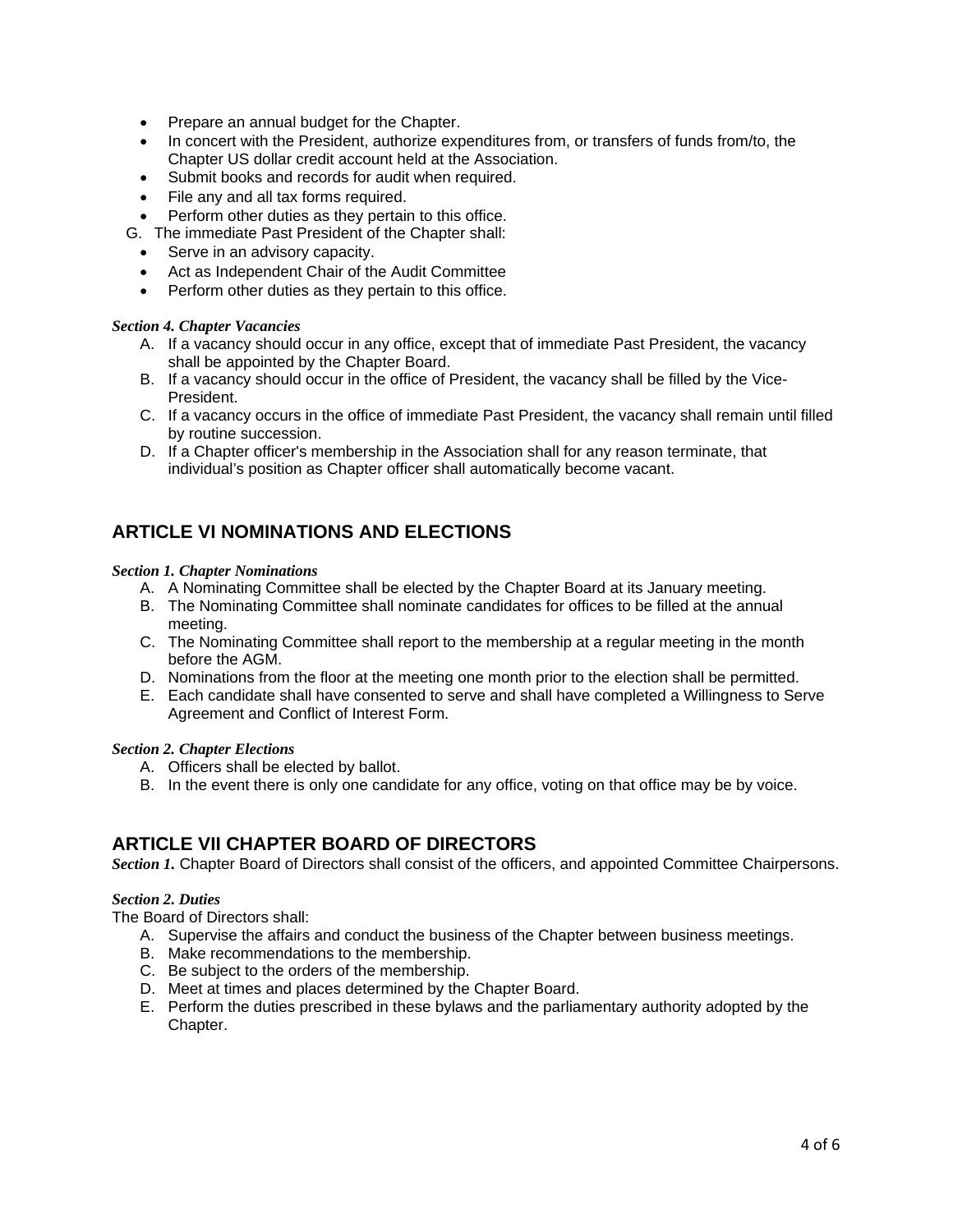- Prepare an annual budget for the Chapter.
- In concert with the President, authorize expenditures from, or transfers of funds from/to, the Chapter US dollar credit account held at the Association.
- Submit books and records for audit when required.
- File any and all tax forms required.
- Perform other duties as they pertain to this office.
- G. The immediate Past President of the Chapter shall:
	- Serve in an advisory capacity.
	- Act as Independent Chair of the Audit Committee
	- Perform other duties as they pertain to this office.

#### *Section 4. Chapter Vacancies*

- A. If a vacancy should occur in any office, except that of immediate Past President, the vacancy shall be appointed by the Chapter Board.
- B. If a vacancy should occur in the office of President, the vacancy shall be filled by the Vice-President.
- C. If a vacancy occurs in the office of immediate Past President, the vacancy shall remain until filled by routine succession.
- D. If a Chapter officer's membership in the Association shall for any reason terminate, that individual's position as Chapter officer shall automatically become vacant.

## **ARTICLE VI NOMINATIONS AND ELECTIONS**

#### *Section 1. Chapter Nominations*

- A. A Nominating Committee shall be elected by the Chapter Board at its January meeting.
- B. The Nominating Committee shall nominate candidates for offices to be filled at the annual meeting.
- C. The Nominating Committee shall report to the membership at a regular meeting in the month before the AGM.
- D. Nominations from the floor at the meeting one month prior to the election shall be permitted.
- E. Each candidate shall have consented to serve and shall have completed a Willingness to Serve Agreement and Conflict of Interest Form.

#### *Section 2. Chapter Elections*

- A. Officers shall be elected by ballot.
- B. In the event there is only one candidate for any office, voting on that office may be by voice.

### **ARTICLE VII CHAPTER BOARD OF DIRECTORS**

*Section 1.* Chapter Board of Directors shall consist of the officers, and appointed Committee Chairpersons.

#### *Section 2. Duties*

The Board of Directors shall:

- A. Supervise the affairs and conduct the business of the Chapter between business meetings.
- B. Make recommendations to the membership.
- C. Be subject to the orders of the membership.
- D. Meet at times and places determined by the Chapter Board.
- E. Perform the duties prescribed in these bylaws and the parliamentary authority adopted by the Chapter.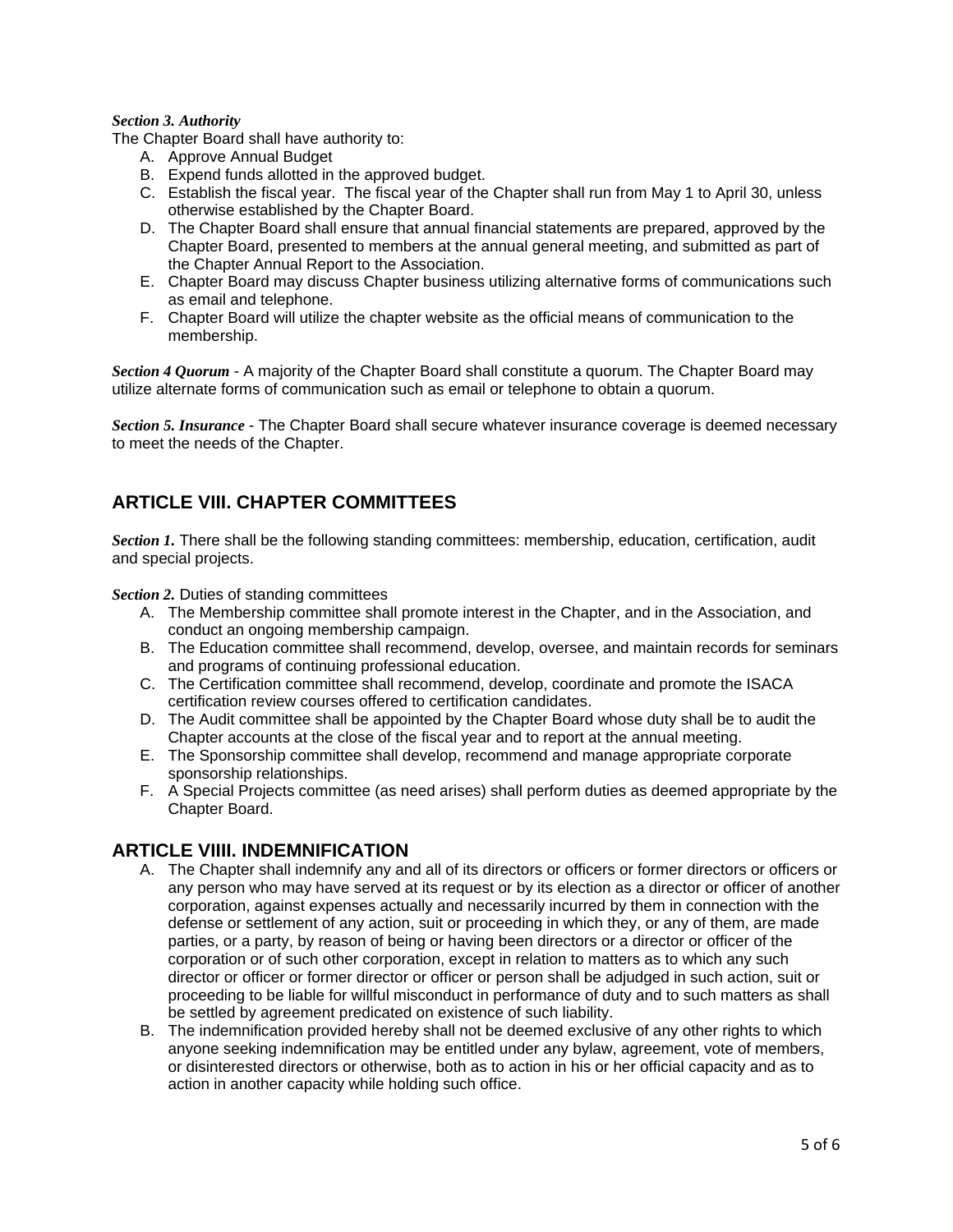#### *Section 3. Authority*

The Chapter Board shall have authority to:

- A. Approve Annual Budget
- B. Expend funds allotted in the approved budget.
- C. Establish the fiscal year. The fiscal year of the Chapter shall run from May 1 to April 30, unless otherwise established by the Chapter Board.
- D. The Chapter Board shall ensure that annual financial statements are prepared, approved by the Chapter Board, presented to members at the annual general meeting, and submitted as part of the Chapter Annual Report to the Association.
- E. Chapter Board may discuss Chapter business utilizing alternative forms of communications such as email and telephone.
- F. Chapter Board will utilize the chapter website as the official means of communication to the membership.

*Section 4 Quorum* - A majority of the Chapter Board shall constitute a quorum. The Chapter Board may utilize alternate forms of communication such as email or telephone to obtain a quorum.

*Section 5. Insurance* - The Chapter Board shall secure whatever insurance coverage is deemed necessary to meet the needs of the Chapter.

## **ARTICLE VIII. CHAPTER COMMITTEES**

*Section 1.* There shall be the following standing committees: membership, education, certification, audit and special projects.

*Section 2.* Duties of standing committees

- A. The Membership committee shall promote interest in the Chapter, and in the Association, and conduct an ongoing membership campaign.
- B. The Education committee shall recommend, develop, oversee, and maintain records for seminars and programs of continuing professional education.
- C. The Certification committee shall recommend, develop, coordinate and promote the ISACA certification review courses offered to certification candidates.
- D. The Audit committee shall be appointed by the Chapter Board whose duty shall be to audit the Chapter accounts at the close of the fiscal year and to report at the annual meeting.
- E. The Sponsorship committee shall develop, recommend and manage appropriate corporate sponsorship relationships.
- F. A Special Projects committee (as need arises) shall perform duties as deemed appropriate by the Chapter Board.

### **ARTICLE VIIII. INDEMNIFICATION**

- A. The Chapter shall indemnify any and all of its directors or officers or former directors or officers or any person who may have served at its request or by its election as a director or officer of another corporation, against expenses actually and necessarily incurred by them in connection with the defense or settlement of any action, suit or proceeding in which they, or any of them, are made parties, or a party, by reason of being or having been directors or a director or officer of the corporation or of such other corporation, except in relation to matters as to which any such director or officer or former director or officer or person shall be adjudged in such action, suit or proceeding to be liable for willful misconduct in performance of duty and to such matters as shall be settled by agreement predicated on existence of such liability.
- B. The indemnification provided hereby shall not be deemed exclusive of any other rights to which anyone seeking indemnification may be entitled under any bylaw, agreement, vote of members, or disinterested directors or otherwise, both as to action in his or her official capacity and as to action in another capacity while holding such office.